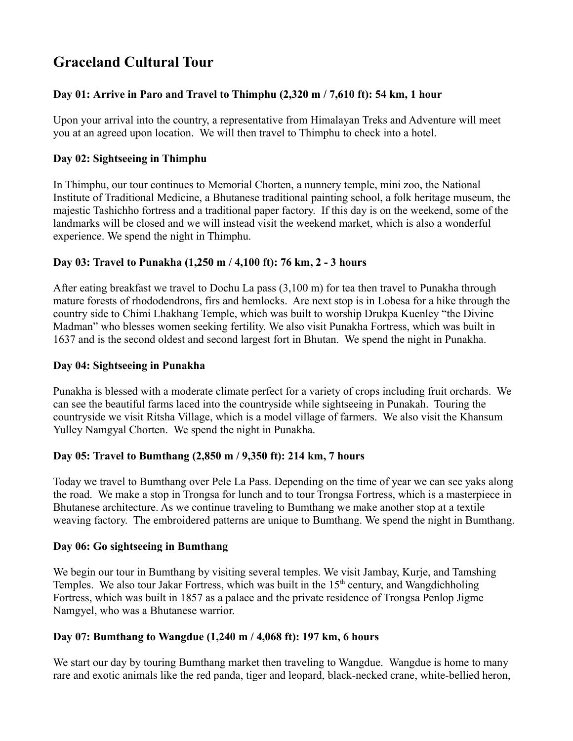# **Graceland Cultural Tour**

# **Day 01: Arrive in Paro and Travel to Thimphu (2,320 m / 7,610 ft): 54 km, 1 hour**

Upon your arrival into the country, a representative from Himalayan Treks and Adventure will meet you at an agreed upon location. We will then travel to Thimphu to check into a hotel.

## **Day 02: Sightseeing in Thimphu**

In Thimphu, our tour continues to Memorial Chorten, a nunnery temple, mini zoo, the National Institute of Traditional Medicine, a Bhutanese traditional painting school, a folk heritage museum, the majestic Tashichho fortress and a traditional paper factory. If this day is on the weekend, some of the landmarks will be closed and we will instead visit the weekend market, which is also a wonderful experience. We spend the night in Thimphu.

# **Day 03: Travel to Punakha (1,250 m / 4,100 ft): 76 km, 2 - 3 hours**

After eating breakfast we travel to Dochu La pass (3,100 m) for tea then travel to Punakha through mature forests of rhododendrons, firs and hemlocks. Are next stop is in Lobesa for a hike through the country side to Chimi Lhakhang Temple, which was built to worship Drukpa Kuenley "the Divine Madman" who blesses women seeking fertility. We also visit Punakha Fortress, which was built in 1637 and is the second oldest and second largest fort in Bhutan. We spend the night in Punakha.

## **Day 04: Sightseeing in Punakha**

Punakha is blessed with a moderate climate perfect for a variety of crops including fruit orchards. We can see the beautiful farms laced into the countryside while sightseeing in Punakah. Touring the countryside we visit Ritsha Village, which is a model village of farmers. We also visit the Khansum Yulley Namgyal Chorten. We spend the night in Punakha.

#### **Day 05: Travel to Bumthang (2,850 m / 9,350 ft): 214 km, 7 hours**

Today we travel to Bumthang over Pele La Pass. Depending on the time of year we can see yaks along the road. We make a stop in Trongsa for lunch and to tour Trongsa Fortress, which is a masterpiece in Bhutanese architecture. As we continue traveling to Bumthang we make another stop at a textile weaving factory. The embroidered patterns are unique to Bumthang. We spend the night in Bumthang.

#### **Day 06: Go sightseeing in Bumthang**

We begin our tour in Bumthang by visiting several temples. We visit Jambay, Kurje, and Tamshing Temples. We also tour Jakar Fortress, which was built in the  $15<sup>th</sup>$  century, and Wangdichholing Fortress, which was built in 1857 as a palace and the private residence of Trongsa Penlop Jigme Namgyel, who was a Bhutanese warrior.

#### **Day 07: Bumthang to Wangdue (1,240 m / 4,068 ft): 197 km, 6 hours**

We start our day by touring Bumthang market then traveling to Wangdue. Wangdue is home to many rare and exotic animals like the red panda, tiger and leopard, black-necked crane, white-bellied heron,